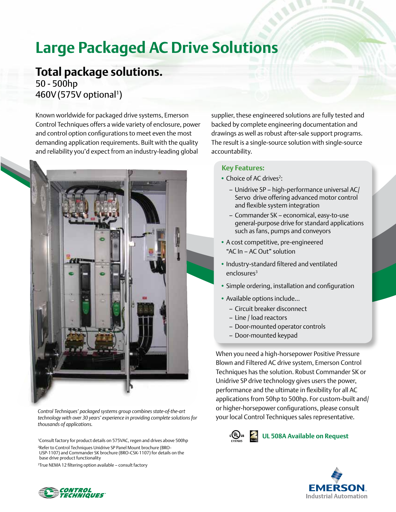# **Large Packaged AC Drive Solutions**

## **Total package solutions.** 50 - 500hp

460V (575V optional<sup>1</sup>)

Known worldwide for packaged drive systems, Emerson Control Techniques offers a wide variety of enclosure, power and control option configurations to meet even the most demanding application requirements. Built with the quality and reliability you'd expect from an industry-leading global



*Control Techniques' packaged systems group combines state-of-the-art technology with over 30 years' experience in providing complete solutions for thousands of applications.*

1 Consult factory for product details on 575VAC, regen and drives above 500hp 2 Refer to Control Techniques Unidrive SP Panel Mount brochure (BRO-USP-1107) and Commander SK brochure (BRO-CSK-1107) for details on the base drive product functionality

3 True NEMA 12 filtering option available – consult factory

supplier, these engineered solutions are fully tested and backed by complete engineering documentation and drawings as well as robust after-sale support programs. The result is a single-source solution with single-source accountability.

#### **Key Features:**

- Choice of AC drives<sup>2</sup>:
	- Unidrive SP high-performance universal AC/ Servo drive offering advanced motor control and flexible system integration
	- Commander SK economical, easy-to-use general-purpose drive for standard applications such as fans, pumps and conveyors
- A cost competitive, pre-engineered "AC In – AC Out" solution
- Industry-standard filtered and ventilated enclosures<sup>3</sup>
- Simple ordering, installation and configuration
- Available options include...
	- Circuit breaker disconnect
	- Line / load reactors
	- Door-mounted operator controls
	- Door-mounted keypad

When you need a high-horsepower Positive Pressure Blown and Filtered AC drive system, Emerson Control Techniques has the solution. Robust Commander SK or Unidrive SP drive technology gives users the power, performance and the ultimate in flexibility for all AC applications from 50hp to 500hp. For custom-built and/ or higher-horsepower configurations, please consult your local Control Techniques sales representative.